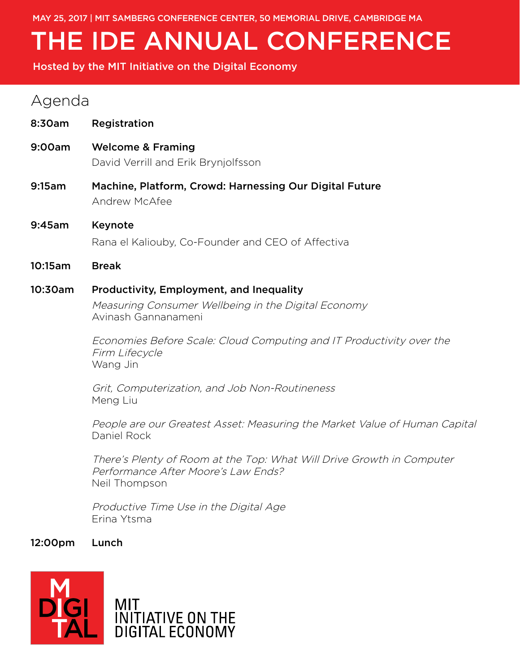MAY 25, 2017 | MIT SAMBERG CONFERENCE CENTER, 50 MEMORIAL DRIVE, CAMBRIDGE MA

# THE IDE ANNUAL CONFERENCE

Hosted by the MIT Initiative on the Digital Economy

## Agenda

| 8:30am  | Registration                                                                                                                  |
|---------|-------------------------------------------------------------------------------------------------------------------------------|
| 9:00am  | <b>Welcome &amp; Framing</b><br>David Verrill and Erik Brynjolfsson                                                           |
| 9:15am  | Machine, Platform, Crowd: Harnessing Our Digital Future<br>Andrew McAfee                                                      |
| 9:45am  | Keynote<br>Rana el Kaliouby, Co-Founder and CEO of Affectiva                                                                  |
| 10:15am | <b>Break</b>                                                                                                                  |
| 10:30am | <b>Productivity, Employment, and Inequality</b><br>Measuring Consumer Wellbeing in the Digital Economy<br>Avinash Gannanameni |
|         | Economies Before Scale: Cloud Computing and IT Productivity over the<br>Firm Lifecycle<br>Wang Jin                            |
|         | Grit, Computerization, and Job Non-Routineness<br>Meng Liu                                                                    |
|         | People are our Greatest Asset: Measuring the Market Value of Human Capital<br>Daniel Rock                                     |
|         | There's Plenty of Room at the Top: What Will Drive Growth in Computer<br>Performance After Moore's Law Ends?<br>Neil Thompson |
|         | Productive Time Use in the Digital Age                                                                                        |

Erina Ytsma

12:00pm Lunch